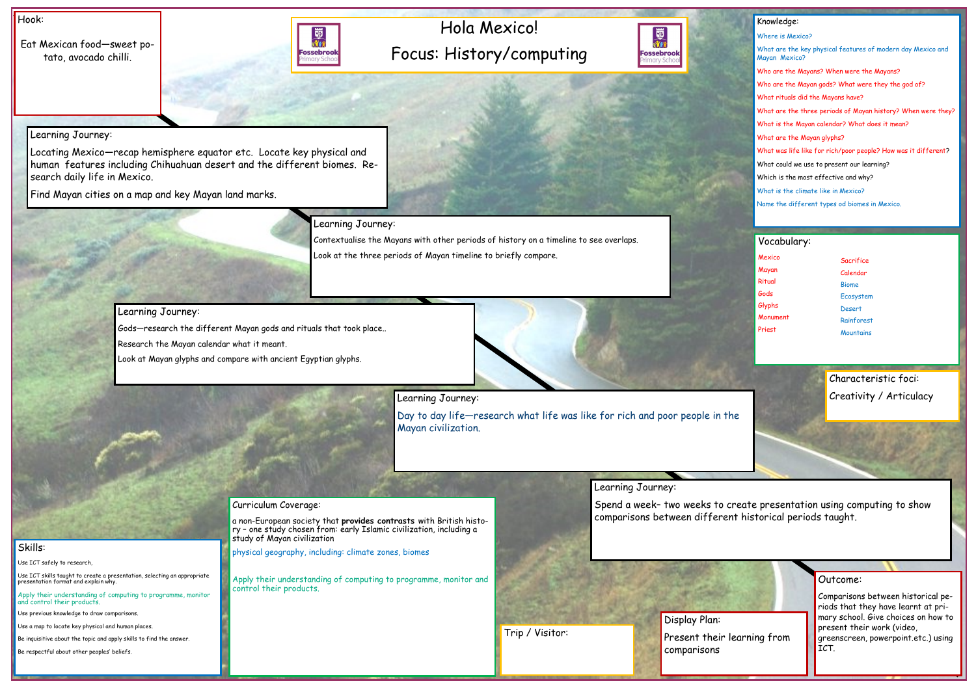# Hola Mexico! Focus: History/computing



### Hook:

Eat Mexican food—sweet potato, avocado chilli.



### Outcome:

Comparisons between historical periods that they have learnt at primary school. Give choices on how to present their work (video, greenscreen, powerpoint.etc.) using ICT.

#### Knowledge:

Where is Mexico? What are the key physical features of modern day Mexico and Mayan Mexico? Who are the Mayans? When were the Mayans? Who are the Mayan gods? What were they the god of? What rituals did the Mayans have? What are the three periods of Mayan history? When were they? What is the Mayan calendar? What does it mean? What are the Mayan glyphs? What was life like for rich/poor people? How was it different? What could we use to present our learning? Which is the most effective and why? What is the climate like in Mexico? Name the different types od biomes in Mexico.

Skills:

Use ICT safely to research,

Use ICT skills taught to create a presentation, selecting an appropriate presentation format and explain why.

Apply their understanding of computing to programme, monitor and control their products.

Use previous knowledge to draw comparisons.

Use a map to locate key physical and human places.

Be inquisitive about the topic and apply skills to find the answer.

- Mexico Mayan Ritual Gods Glyphs Monument Priest
- **Sacrifice** Calendar Biome Ecosystem Desert Rainforest **Mountains**

Be respectful about other peoples' beliefs.

Learning Journey:

Locating Mexico—recap hemisphere equator etc. Locate key physical and human features including Chihuahuan desert and the different biomes. Research daily life in Mexico.

Find Mayan cities on a map and key Mayan land marks.

Learning Journey:

Contextualise the Mayans with other periods of history on a timeline to see overlaps. Look at the three periods of Mayan timeline to briefly compare.

Learning Journey:

Gods—research the different Mayan gods and rituals that took place..

Research the Mayan calendar what it meant.

Look at Mayan glyphs and compare with ancient Egyptian glyphs.



Learning Journey:

Day to day life—research what life was like for rich and poor people in the Mayan civilization.

### Learning Journey:

Spend a week– two weeks to create presentation using computing to show comparisons between different historical periods taught.

#### Curriculum Coverage:

a non-European society that **provides contrasts** with British history – one study chosen from: early Islamic civilization, including a study of Mayan civilization

physical geography, including: climate zones, biomes

Apply their understanding of computing to programme, monitor and control their products.

#### Vocabulary:

Display Plan: Present their led comparisons



## Characteristic foci: Creativity / Articulacy

| arning from |  |
|-------------|--|
|             |  |